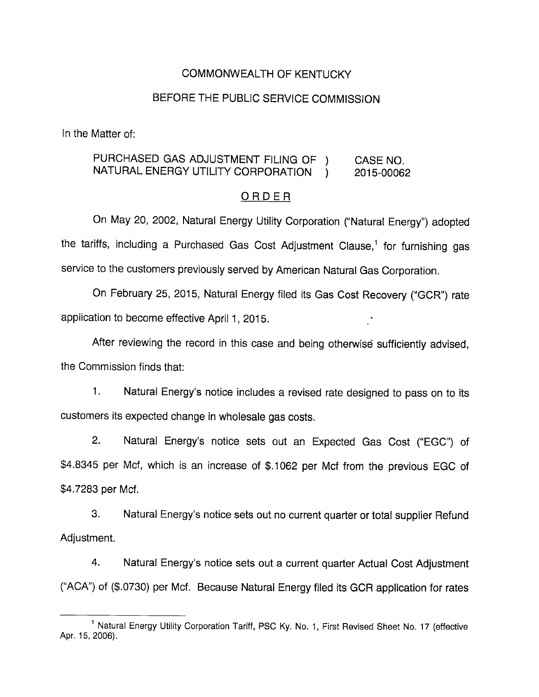### COMMONWEALTH OF KENTUCKY

### BEFORE THE PUBLIC SERVICE COMMISSION

In the Matter of:

# PURCHASED GAS ADJUSTMENT FILING OF ) CASE NO NATURAL ENERGY UTILITY CORPORATION ) 2015-00062

#### ORDER

On May 20, 2002, Natural Energy Utility Corporation ("Natural Energy") adopted the tariffs, including a Purchased Gas Cost Adjustment Clause,<sup>1</sup> for furnishing gas service to the customers previously served by American Natural Gas Corporation.

On February 25, 2015, Natural Energy filed its Gas Cost Recovery ("GCR") rate application to become effective April 1, 2015.

After reviewing the record in this case and being otherwise sufficientiy advised, the Commission finds that:

1. Natural Energy's notice includes a revised rate designed to pass on to its customers its expected change in wholesale gas costs.

2. Natural Energy's notice sets out an Expected Gas Cost ("EGC") of \$4.8345 per Mcf, which is an increase of \$.1062 per Mcf from the previous EGC of \$4.7283 per Mcf.

3. Natural Energy's notice sets out no current quarter or total supplier Refund Adjustment.

4. Natural Energy's notice sets out a current quarter Actual Cost Adjustment ("ACA") of (\$.0730) per Mcf. Because Natural Energy filed its GCR application for rates

<sup>&</sup>lt;sup>1</sup> Natural Energy Utility Corporation Tariff, PSC Ky. No. 1, First Revised Sheet No. 17 (effective Apr. 15, 2006).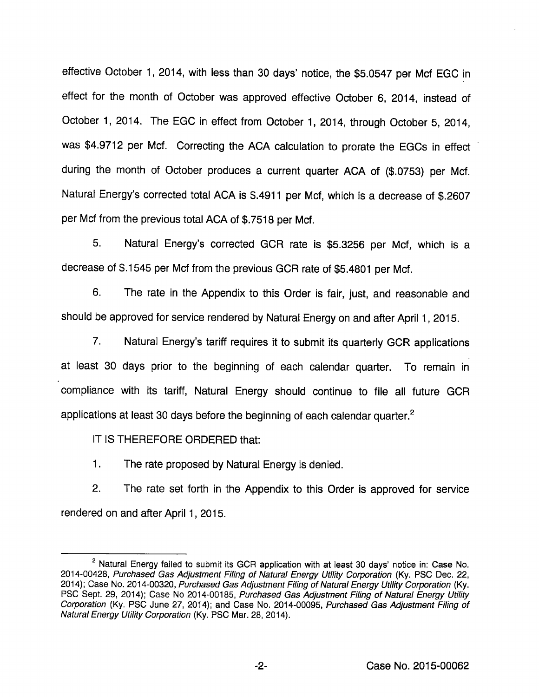effective October 1, 2014, with iess than 30 days' notice, the \$5.0547 per Mcf EGG in effect for the month of October was approved effective October 6, 2014, instead of October 1, 2014. The EGG in effect from October 1, 2014, through October 5, 2014, was \$4.9712 per Mcf. Correcting the ACA calculation to prorate the EGCs in effect during the month of October produces a current quarter AGA of (\$.0753) per Mcf. Natural Energy's corrected total AGA is \$.4911 per Mcf, which is a decrease of \$.2607 per Mcf from the previous total AGA of \$.7518 per Mcf.

5. Natural Energy's corrected GGR rate is \$5.3256 per Mcf, which is a decrease of \$.1545 per Mcf from the previous GCR rate of \$5,4801 per Mcf.

6. The rate in the Appendix to this Order is fair, just, and reasonable and should be approved for service rendered by Natural Energy on and after April 1, 2015.

7. Natural Energy's tariff requires it to submit its quarterly GGR applications at least 30 days prior to the beginning of each calendar quarter. To remain in compliance with its tariff. Natural Energy should continue to file all future GGR applications at least 30 days before the beginning of each calendar quarter. $<sup>2</sup>$ </sup>

IT IS THEREFORE ORDERED that:

1. The rate proposed by Natural Energy is denied.

2. The rate set forth in the Appendix to this Order is approved for service rendered on and after April 1, 2015.

 $2$  Natural Energy failed to submit its GCR application with at least 30 days' notice in: Case No. 2014-00428, Purchased Gas Adjustment Filing of Natural Energy Utility Corporation (Ky. PSC Dec. 22, 2014); Case No. 2014-00320, Purchased Gas Adjustment Filing of Natural Energy Utility Corporation (Ky. PSC Sept. 29, 2014); Case No 2014-00185, Purchased Gas Adjustment Filing of Natural Energy Utility Corporation (Ky. PSC June 27, 2014); and Case No. 2014-00095, Purchased Gas Adjustment Filing of Natural Energy Utility Corporation (Ky. PSC Mar. 28, 2014).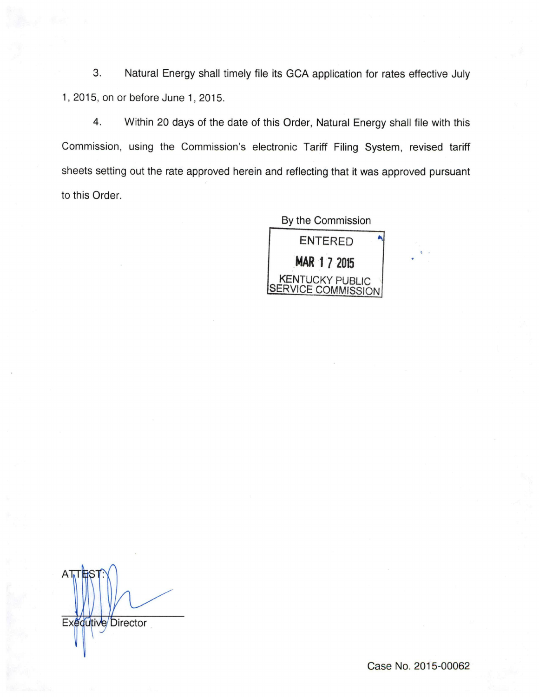3. Natural Energy shall timely file its GCA application for rates effective July 1, 2015, on or before June 1, 2015.

4. Within 20 days of the date of this Order, Natural Energy shall file with this Commission, using the Commission's electronic Tariff Filing System, revised tariff sheets setting out the rate approved herein and reflecting that it was approved pursuant to this Order.

> By the Commission ENTERED MAR I 7 2015 KENTUCKY PUBLIC SERVICE COMMISSION

 $\mathsf{A}$ Exequitive Director

Case No. 2015-00062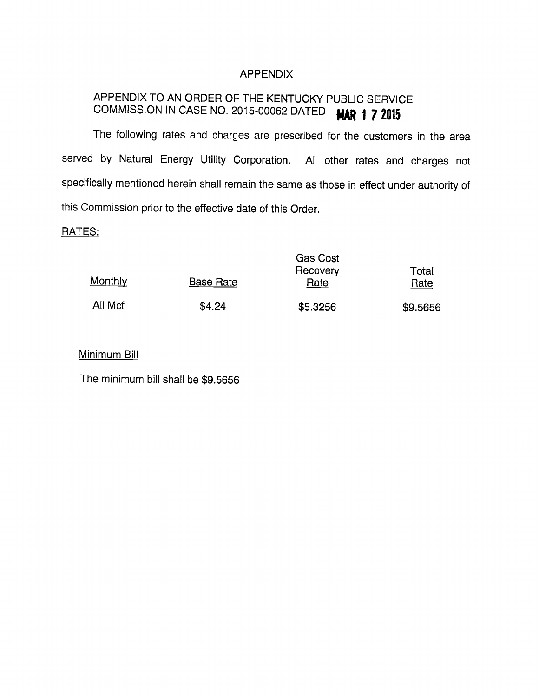# APPENDIX

# APPENDIX TO AN ORDER OF THE KENTUCKY PUBLIC SERVICE COMMISSION IN CASE NO. 2015-00062 DATED **MAR 1 7 2015**

The following rates and charges are prescribed for the customers in the area served by Natural Energy Utility Corporation. All other rates and charges not specifically mentioned herein shall remain the same as those in effect under authority of this Commission prior to the effective date of this Order.

#### RATES:

|         |                  | Gas Cost<br>Recovery | Total    |
|---------|------------------|----------------------|----------|
| Monthly | <b>Base Rate</b> | Rate                 | Rate     |
| All Mcf | \$4.24           | \$5.3256             | \$9.5656 |

## Minimum Bill

The minimum bill shall be \$9.5656